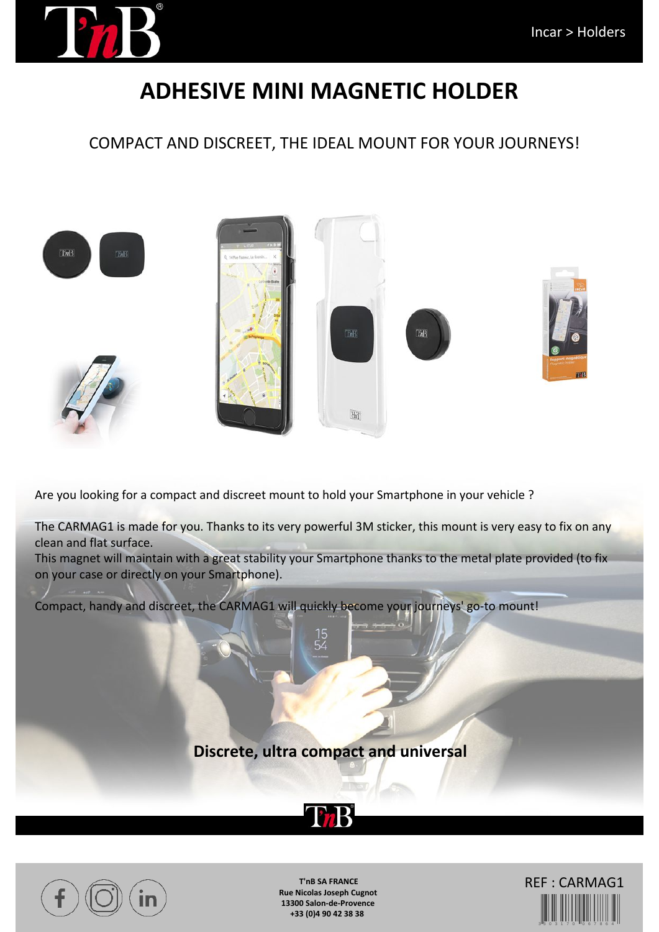

## **ADHESIVE MINI MAGNETIC HOLDER**

COMPACT AND DISCREET, THE IDEAL MOUNT FOR YOUR JOURNEYS!



Are you looking for a compact and discreet mount to hold your Smartphone in your vehicle ?

The CARMAG1 is made for you. Thanks to its very powerful 3M sticker, this mount is very easy to fix on any clean and flat surface.

This magnet will maintain with a great stability your Smartphone thanks to the metal plate provided (to fix on your case or directly on your Smartphone).

Compact, handy and discreet, the CARMAG1 will quickly become your journeys' go-to mount!

**Discrete, ultra compact and universal**

**ThB** 



**T'nB SA FRANCE Rue Nicolas Joseph Cugnot 13300 Salon-de-Provence +33 (0)4 90 42 38 38**